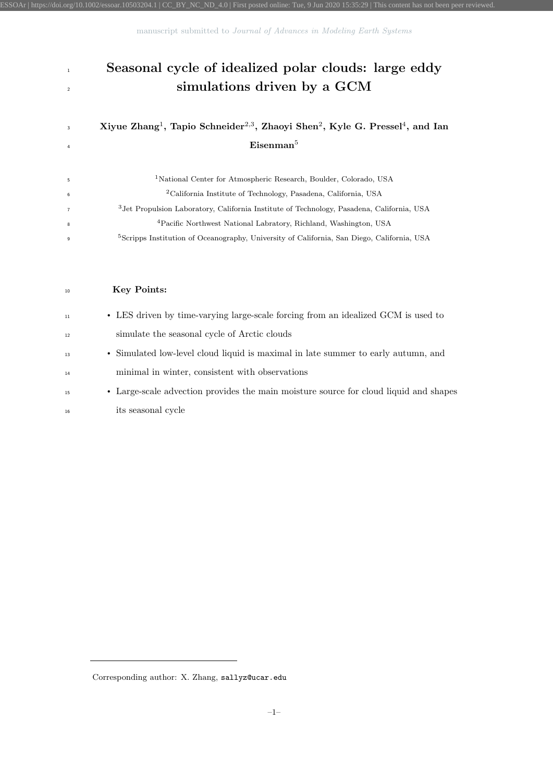# 1 Seasonal cycle of idealized polar clouds: large eddy <sup>2</sup> simulations driven by a GCM

# 3  $\hspace{0.1cm}$  Xiyue Zhang<sup>1</sup>, Tapio Schneider<sup>2,3</sup>, Zhaoyi Shen<sup>2</sup>, Kyle G. Pressel<sup>4</sup>, and Ian  $Eisenman<sup>5</sup>$

10 Key Points:

| 5. | <sup>1</sup> National Center for Atmospheric Research, Boulder, Colorado, USA                          |
|----|--------------------------------------------------------------------------------------------------------|
| 6  | <sup>2</sup> California Institute of Technology, Pasadena, California, USA                             |
|    | <sup>3</sup> Jet Propulsion Laboratory, California Institute of Technology, Pasadena, California, USA  |
| 8  | <sup>4</sup> Pacific Northwest National Labratory, Richland, Washington, USA                           |
| q  | <sup>5</sup> Scripps Institution of Oceanography, University of California, San Diego, California, USA |

# • LES driven by time-varying large-scale forcing from an idealized GCM is used to simulate the seasonal cycle of Arctic clouds • Simulated low-level cloud liquid is maximal in late summer to early autumn, and minimal in winter, consistent with observations • Large-scale advection provides the main moisture source for cloud liquid and shapes its seasonal cycle

Corresponding author: X. Zhang, sallyz@ucar.edu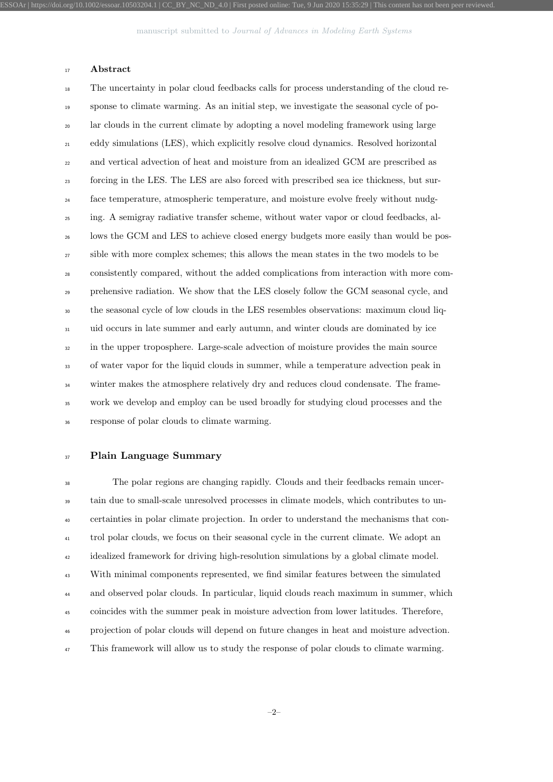#### 17 Abstract

 The uncertainty in polar cloud feedbacks calls for process understanding of the cloud re- sponse to climate warming. As an initial step, we investigate the seasonal cycle of po- lar clouds in the current climate by adopting a novel modeling framework using large eddy simulations (LES), which explicitly resolve cloud dynamics. Resolved horizontal and vertical advection of heat and moisture from an idealized GCM are prescribed as forcing in the LES. The LES are also forced with prescribed sea ice thickness, but sur- face temperature, atmospheric temperature, and moisture evolve freely without nudg- ing. A semigray radiative transfer scheme, without water vapor or cloud feedbacks, al- lows the GCM and LES to achieve closed energy budgets more easily than would be pos- sible with more complex schemes; this allows the mean states in the two models to be consistently compared, without the added complications from interaction with more com- prehensive radiation. We show that the LES closely follow the GCM seasonal cycle, and <sup>30</sup> the seasonal cycle of low clouds in the LES resembles observations: maximum cloud liq- uid occurs in late summer and early autumn, and winter clouds are dominated by ice in the upper troposphere. Large-scale advection of moisture provides the main source of water vapor for the liquid clouds in summer, while a temperature advection peak in winter makes the atmosphere relatively dry and reduces cloud condensate. The frame- work we develop and employ can be used broadly for studying cloud processes and the response of polar clouds to climate warming.

### Plain Language Summary

 The polar regions are changing rapidly. Clouds and their feedbacks remain uncer- tain due to small-scale unresolved processes in climate models, which contributes to un- certainties in polar climate projection. In order to understand the mechanisms that con- trol polar clouds, we focus on their seasonal cycle in the current climate. We adopt an idealized framework for driving high-resolution simulations by a global climate model. With minimal components represented, we find similar features between the simulated and observed polar clouds. In particular, liquid clouds reach maximum in summer, which coincides with the summer peak in moisture advection from lower latitudes. Therefore, projection of polar clouds will depend on future changes in heat and moisture advection. This framework will allow us to study the response of polar clouds to climate warming.

–2–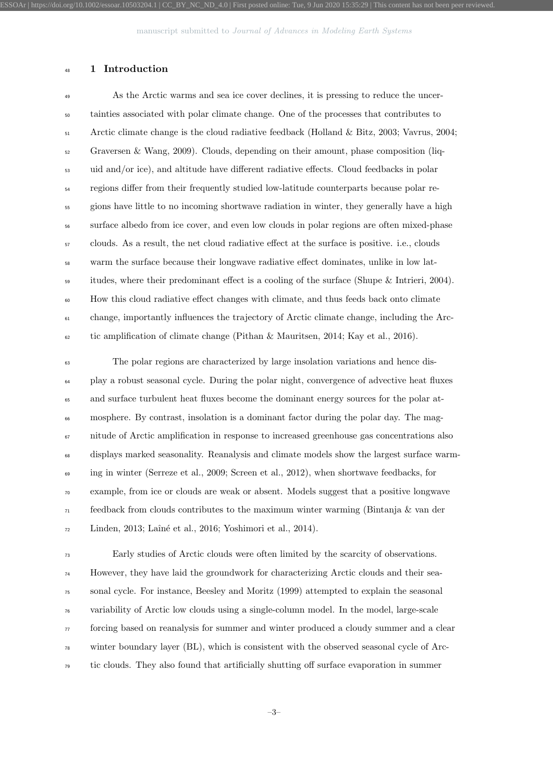ESSOAr | https://doi.org/10.1002/essoar.10503204.1 | CC\_BY\_NC\_ND\_4.0 | First posted online: Tue, 9 Jun 2020 15:35:29 | This content has not been peer reviewed.

#### 1 Introduction

 As the Arctic warms and sea ice cover declines, it is pressing to reduce the uncer- tainties associated with polar climate change. One of the processes that contributes to Arctic climate change is the cloud radiative feedback (Holland & Bitz, 2003; Vavrus, 2004; Graversen & Wang, 2009). Clouds, depending on their amount, phase composition (liq- uid and/or ice), and altitude have different radiative effects. Cloud feedbacks in polar regions differ from their frequently studied low-latitude counterparts because polar re- gions have little to no incoming shortwave radiation in winter, they generally have a high surface albedo from ice cover, and even low clouds in polar regions are often mixed-phase clouds. As a result, the net cloud radiative effect at the surface is positive. i.e., clouds warm the surface because their longwave radiative effect dominates, unlike in low lat- itudes, where their predominant effect is a cooling of the surface (Shupe & Intrieri, 2004). How this cloud radiative effect changes with climate, and thus feeds back onto climate change, importantly influences the trajectory of Arctic climate change, including the Arc- $\epsilon_2$  tic amplification of climate change (Pithan & Mauritsen, 2014; Kay et al., 2016).

 The polar regions are characterized by large insolation variations and hence dis- play a robust seasonal cycle. During the polar night, convergence of advective heat fluxes and surface turbulent heat fluxes become the dominant energy sources for the polar at- mosphere. By contrast, insolation is a dominant factor during the polar day. The mag- nitude of Arctic amplification in response to increased greenhouse gas concentrations also displays marked seasonality. Reanalysis and climate models show the largest surface warm- ing in winter (Serreze et al., 2009; Screen et al., 2012), when shortwave feedbacks, for example, from ice or clouds are weak or absent. Models suggest that a positive longwave  $\pi$  feedback from clouds contributes to the maximum winter warming (Bintanja & van der Linden, 2013; Laˆın´e et al., 2016; Yoshimori et al., 2014).

 Early studies of Arctic clouds were often limited by the scarcity of observations. However, they have laid the groundwork for characterizing Arctic clouds and their sea- sonal cycle. For instance, Beesley and Moritz (1999) attempted to explain the seasonal variability of Arctic low clouds using a single-column model. In the model, large-scale  $\pi$  forcing based on reanalysis for summer and winter produced a cloudy summer and a clear winter boundary layer (BL), which is consistent with the observed seasonal cycle of Arc-tic clouds. They also found that artificially shutting off surface evaporation in summer

–3–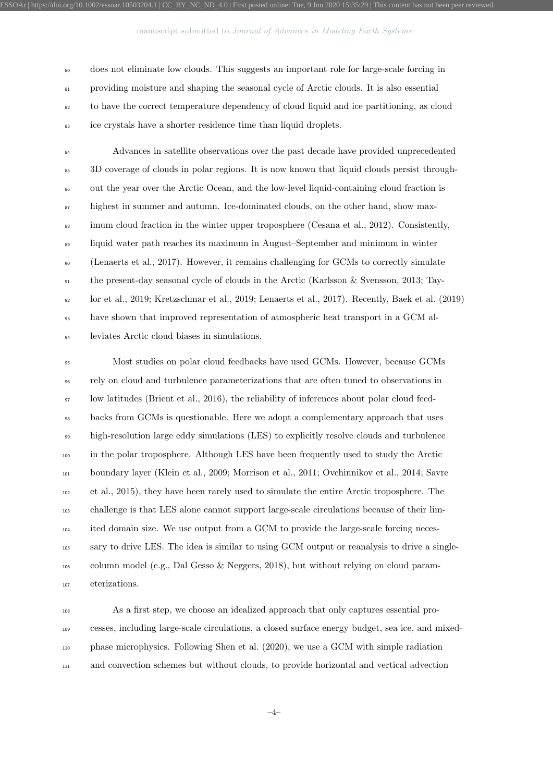does not eliminate low clouds. This suggests an important role for large-scale forcing in providing moisture and shaping the seasonal cycle of Arctic clouds. It is also essential to have the correct temperature dependency of cloud liquid and ice partitioning, as cloud ice crystals have a shorter residence time than liquid droplets.

 Advances in satellite observations over the past decade have provided unprecedented 3D coverage of clouds in polar regions. It is now known that liquid clouds persist through- out the year over the Arctic Ocean, and the low-level liquid-containing cloud fraction is <sup>87</sup> highest in summer and autumn. Ice-dominated clouds, on the other hand, show max- imum cloud fraction in the winter upper troposphere (Cesana et al., 2012). Consistently, liquid water path reaches its maximum in August–September and minimum in winter (Lenaerts et al., 2017). However, it remains challenging for GCMs to correctly simulate the present-day seasonal cycle of clouds in the Arctic (Karlsson & Svensson, 2013; Tay- lor et al., 2019; Kretzschmar et al., 2019; Lenaerts et al., 2017). Recently, Baek et al. (2019) have shown that improved representation of atmospheric heat transport in a GCM al-leviates Arctic cloud biases in simulations.

 Most studies on polar cloud feedbacks have used GCMs. However, because GCMs rely on cloud and turbulence parameterizations that are often tuned to observations in low latitudes (Brient et al., 2016), the reliability of inferences about polar cloud feed- backs from GCMs is questionable. Here we adopt a complementary approach that uses high-resolution large eddy simulations (LES) to explicitly resolve clouds and turbulence in the polar troposphere. Although LES have been frequently used to study the Arctic boundary layer (Klein et al., 2009; Morrison et al., 2011; Ovchinnikov et al., 2014; Savre et al., 2015), they have been rarely used to simulate the entire Arctic troposphere. The challenge is that LES alone cannot support large-scale circulations because of their lim- ited domain size. We use output from a GCM to provide the large-scale forcing neces- sary to drive LES. The idea is similar to using GCM output or reanalysis to drive a single- column model (e.g., Dal Gesso & Neggers, 2018), but without relying on cloud param-eterizations.

 As a first step, we choose an idealized approach that only captures essential pro- cesses, including large-scale circulations, a closed surface energy budget, sea ice, and mixed- phase microphysics. Following Shen et al. (2020), we use a GCM with simple radiation and convection schemes but without clouds, to provide horizontal and vertical advection

–4–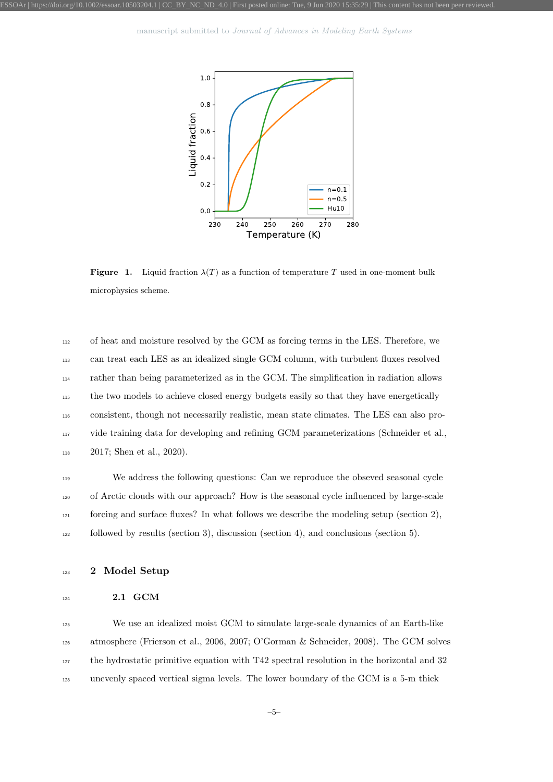

**Figure 1.** Liquid fraction  $\lambda(T)$  as a function of temperature T used in one-moment bulk microphysics scheme.

 of heat and moisture resolved by the GCM as forcing terms in the LES. Therefore, we can treat each LES as an idealized single GCM column, with turbulent fluxes resolved rather than being parameterized as in the GCM. The simplification in radiation allows the two models to achieve closed energy budgets easily so that they have energetically consistent, though not necessarily realistic, mean state climates. The LES can also pro- vide training data for developing and refining GCM parameterizations (Schneider et al., 2017; Shen et al., 2020).

 We address the following questions: Can we reproduce the obseved seasonal cycle of Arctic clouds with our approach? How is the seasonal cycle influenced by large-scale forcing and surface fluxes? In what follows we describe the modeling setup (section 2), followed by results (section 3), discussion (section 4), and conclusions (section 5).

123 2 Model Setup

#### 124 **2.1 GCM**

 We use an idealized moist GCM to simulate large-scale dynamics of an Earth-like atmosphere (Frierson et al., 2006, 2007; O'Gorman & Schneider, 2008). The GCM solves the hydrostatic primitive equation with T42 spectral resolution in the horizontal and 32 unevenly spaced vertical sigma levels. The lower boundary of the GCM is a 5-m thick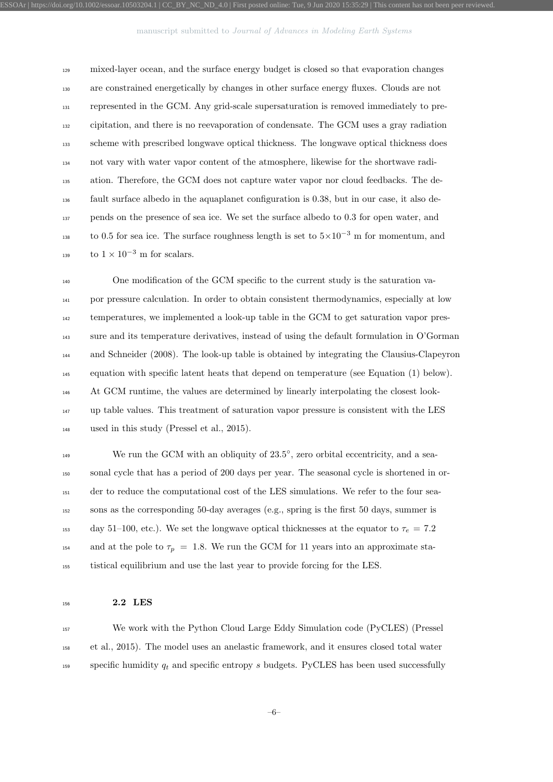mixed-layer ocean, and the surface energy budget is closed so that evaporation changes are constrained energetically by changes in other surface energy fluxes. Clouds are not represented in the GCM. Any grid-scale supersaturation is removed immediately to pre- cipitation, and there is no reevaporation of condensate. The GCM uses a gray radiation scheme with prescribed longwave optical thickness. The longwave optical thickness does not vary with water vapor content of the atmosphere, likewise for the shortwave radi- ation. Therefore, the GCM does not capture water vapor nor cloud feedbacks. The de- fault surface albedo in the aquaplanet configuration is 0.38, but in our case, it also de- pends on the presence of sea ice. We set the surface albedo to 0.3 for open water, and to 0.5 for sea ice. The surface roughness length is set to  $5 \times 10^{-3}$  m for momentum, and <sup>139</sup> to  $1 \times 10^{-3}$  m for scalars.

 One modification of the GCM specific to the current study is the saturation va- por pressure calculation. In order to obtain consistent thermodynamics, especially at low temperatures, we implemented a look-up table in the GCM to get saturation vapor pres- sure and its temperature derivatives, instead of using the default formulation in O'Gorman and Schneider (2008). The look-up table is obtained by integrating the Clausius-Clapeyron equation with specific latent heats that depend on temperature (see Equation (1) below). At GCM runtime, the values are determined by linearly interpolating the closest look- up table values. This treatment of saturation vapor pressure is consistent with the LES used in this study (Pressel et al., 2015).

 $\mu_{149}$  We run the GCM with an obliquity of  $23.5^{\circ}$ , zero orbital eccentricity, and a sea- sonal cycle that has a period of 200 days per year. The seasonal cycle is shortened in or- der to reduce the computational cost of the LES simulations. We refer to the four sea- sons as the corresponding 50-day averages (e.g., spring is the first 50 days, summer is 153 day 51–100, etc.). We set the longwave optical thicknesses at the equator to  $\tau_e = 7.2$ 154 and at the pole to  $\tau_p = 1.8$ . We run the GCM for 11 years into an approximate sta-tistical equilibrium and use the last year to provide forcing for the LES.

2.2 LES

 We work with the Python Cloud Large Eddy Simulation code (PyCLES) (Pressel et al., 2015). The model uses an anelastic framework, and it ensures closed total water 159 specific humidity  $q_t$  and specific entropy s budgets. PyCLES has been used successfully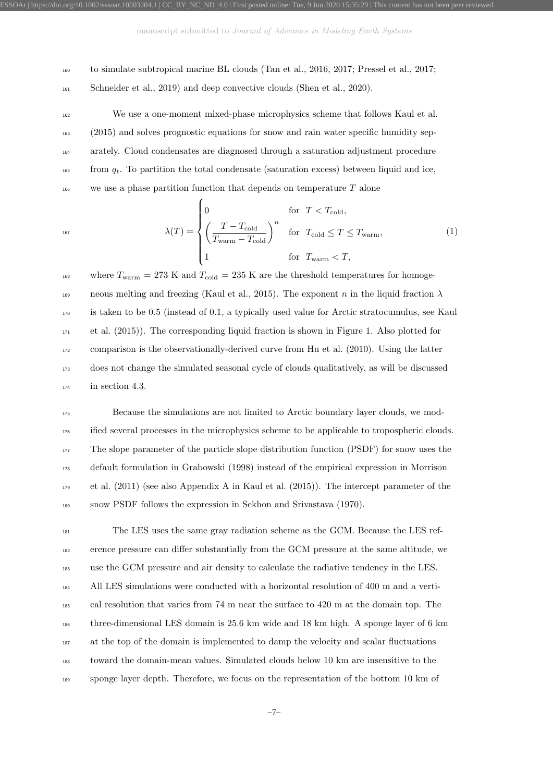<sup>160</sup> to simulate subtropical marine BL clouds (Tan et al., 2016, 2017; Pressel et al., 2017; 161 Schneider et al., 2019) and deep convective clouds (Shen et al., 2020).

ESSOAr | https://doi.org/10.1002/essoar.10503204.1 | CC\_BY\_NC\_ND\_4.0 | First posted online: Tue, 9 Jun 2020 15:35:29 | This content has not been peer reviewed.

 We use a one-moment mixed-phase microphysics scheme that follows Kaul et al. (2015) and solves prognostic equations for snow and rain water specific humidity sep- arately. Cloud condensates are diagnosed through a saturation adjustment procedure  $\frac{1}{165}$  from  $q_t$ . To partition the total condensate (saturation excess) between liquid and ice, we use a phase partition function that depends on temperature T alone

$$
\lambda(T) = \begin{cases}\n0 & \text{for } T < T_{\text{cold}}, \\
\left(\frac{T - T_{\text{cold}}}{T_{\text{warm}} - T_{\text{cold}}}\right)^n & \text{for } T_{\text{cold}} \le T \le T_{\text{warm}}, \\
1 & \text{for } T_{\text{warm}} < T,\n\end{cases}
$$
\n(1)

<sup>168</sup> where  $T_{\text{warm}} = 273$  K and  $T_{\text{cold}} = 235$  K are the threshold temperatures for homoge-169 neous melting and freezing (Kaul et al., 2015). The exponent n in the liquid fraction  $\lambda$  is taken to be 0.5 (instead of 0.1, a typically used value for Arctic stratocumulus, see Kaul et al. (2015)). The corresponding liquid fraction is shown in Figure 1. Also plotted for comparison is the observationally-derived curve from Hu et al. (2010). Using the latter does not change the simulated seasonal cycle of clouds qualitatively, as will be discussed in section 4.3.

 Because the simulations are not limited to Arctic boundary layer clouds, we mod- ified several processes in the microphysics scheme to be applicable to tropospheric clouds. <sub>177</sub> The slope parameter of the particle slope distribution function (PSDF) for snow uses the default formulation in Grabowski (1998) instead of the empirical expression in Morrison et al. (2011) (see also Appendix A in Kaul et al. (2015)). The intercept parameter of the snow PSDF follows the expression in Sekhon and Srivastava (1970).

 The LES uses the same gray radiation scheme as the GCM. Because the LES ref- erence pressure can differ substantially from the GCM pressure at the same altitude, we use the GCM pressure and air density to calculate the radiative tendency in the LES. All LES simulations were conducted with a horizontal resolution of 400 m and a verti- cal resolution that varies from 74 m near the surface to 420 m at the domain top. The three-dimensional LES domain is 25.6 km wide and 18 km high. A sponge layer of 6 km at the top of the domain is implemented to damp the velocity and scalar fluctuations toward the domain-mean values. Simulated clouds below 10 km are insensitive to the sponge layer depth. Therefore, we focus on the representation of the bottom 10 km of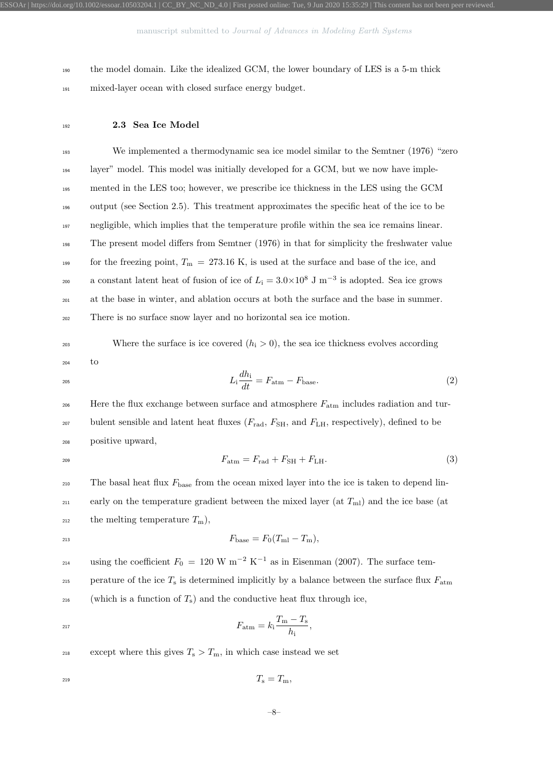<sup>190</sup> the model domain. Like the idealized GCM, the lower boundary of LES is a 5-m thick

ESSOAr | https://doi.org/10.1002/essoar.10503204.1 | CC\_BY\_NC\_ND\_4.0 | First posted online: Tue, 9 Jun 2020 15:35:29 | This content has not been peer reviewed.

<sup>191</sup> mixed-layer ocean with closed surface energy budget.

<sup>192</sup> 2.3 Sea Ice Model

 We implemented a thermodynamic sea ice model similar to the Semtner (1976) "zero layer" model. This model was initially developed for a GCM, but we now have imple- mented in the LES too; however, we prescribe ice thickness in the LES using the GCM output (see Section 2.5). This treatment approximates the specific heat of the ice to be negligible, which implies that the temperature profile within the sea ice remains linear. The present model differs from Semtner (1976) in that for simplicity the freshwater value 199 for the freezing point,  $T_m = 273.16$  K, is used at the surface and base of the ice, and a constant latent heat of fusion of ice of  $L_i = 3.0 \times 10^8$  J m<sup>-3</sup> is adopted. Sea ice grows at the base in winter, and ablation occurs at both the surface and the base in summer. There is no surface snow layer and no horizontal sea ice motion.

<sup>203</sup> Where the surface is ice covered  $(h_i > 0)$ , the sea ice thickness evolves according

- <sup>204</sup> to
- $L_{\rm i} \frac{dh_{\rm i}}{dt} = F_{\rm atm} F_{\rm base}.$  (2)

<sup>206</sup> Here the flux exchange between surface and atmosphere  $F_{\text{atm}}$  includes radiation and tur-207 bulent sensible and latent heat fluxes  $(F_{\text{rad}}, F_{\text{SH}}, \text{ and } F_{\text{LH}})$ , respectively), defined to be <sup>208</sup> positive upward,

$$
F_{\text{atm}} = F_{\text{rad}} + F_{\text{SH}} + F_{\text{LH}}.\tag{3}
$$

210 The basal heat flux  $F_{\text{base}}$  from the ocean mixed layer into the ice is taken to depend lin-<sup>211</sup> early on the temperature gradient between the mixed layer (at  $T<sub>ml</sub>$ ) and the ice base (at <sup>212</sup> the melting temperature  $T_{\text{m}}$ ),

$$
F_{\text{base}} = F_0 (T_{\text{ml}} - T_{\text{m}}),
$$

<sup>214</sup> using the coefficient  $F_0 = 120 \text{ W m}^{-2} \text{ K}^{-1}$  as in Eisenman (2007). The surface tem-215 perature of the ice  $T_s$  is determined implicitly by a balance between the surface flux  $F_{\text{atm}}$ <sup>216</sup> (which is a function of  $T_s$ ) and the conductive heat flux through ice,

$$
F_{\rm atm} = k_{\rm i} \frac{T_{\rm m} - T_{\rm s}}{h_{\rm i}},
$$

<sup>218</sup> except where this gives  $T_s > T_m$ , in which case instead we set

$$
T_{\rm s}=T_{\rm m},
$$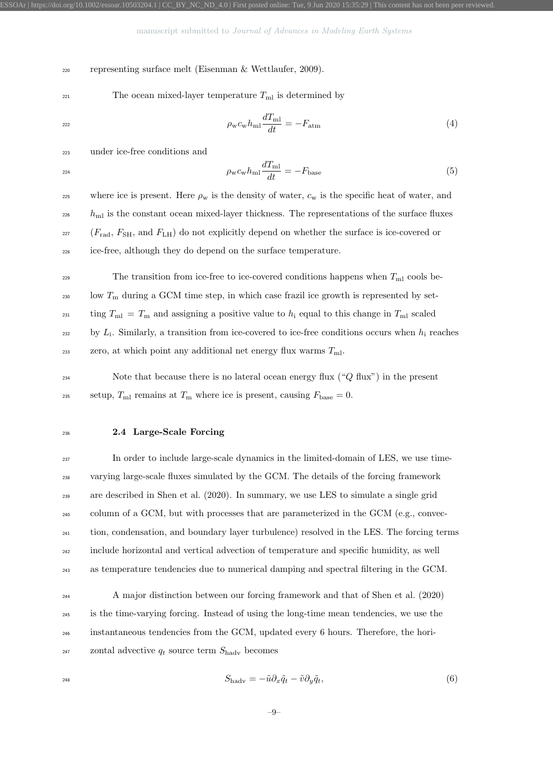<sup>220</sup> representing surface melt (Eisenman & Wettlaufer, 2009).

 $T_{\text{m1}}$  is determined by The ocean mixed-layer temperature  $T_{\text{m1}}$  is determined by

$$
\rho_{\rm w} c_{\rm w} h_{\rm ml} \frac{dT_{\rm ml}}{dt} = -F_{\rm atm} \tag{4}
$$

<sup>223</sup> under ice-free conditions and

$$
\rho_{\rm w} c_{\rm w} h_{\rm ml} \frac{dT_{\rm ml}}{dt} = -F_{\rm base} \tag{5}
$$

<sup>225</sup> where ice is present. Here  $\rho_w$  is the density of water,  $c_w$  is the specific heat of water, and  $h_{\text{ml}}$  is the constant ocean mixed-layer thickness. The representations of the surface fluxes  $227$  ( $F_{\text{rad}}$ ,  $F_{\text{SH}}$ , and  $F_{\text{LH}}$ ) do not explicitly depend on whether the surface is ice-covered or <sup>228</sup> ice-free, although they do depend on the surface temperature.

<sup>229</sup> The transition from ice-free to ice-covered conditions happens when  $T<sub>ml</sub>$  cools be- $230$  low  $T_m$  during a GCM time step, in which case frazil ice growth is represented by set-<sup>231</sup> ting  $T_{\text{ml}} = T_{\text{m}}$  and assigning a positive value to  $h_i$  equal to this change in  $T_{\text{ml}}$  scaled by  $L_i$ . Similarly, a transition from ice-covered to ice-free conditions occurs when  $h_i$  reaches zero, at which point any additional net energy flux warms  $T_{\text{ml}}$ .

<sup>234</sup> Note that because there is no lateral ocean energy flux ("Q flux") in the present 235 setup,  $T_{\text{ml}}$  remains at  $T_{\text{m}}$  where ice is present, causing  $F_{\text{base}} = 0$ .

#### <sup>236</sup> 2.4 Large-Scale Forcing

 In order to include large-scale dynamics in the limited-domain of LES, we use time- varying large-scale fluxes simulated by the GCM. The details of the forcing framework are described in Shen et al. (2020). In summary, we use LES to simulate a single grid column of a GCM, but with processes that are parameterized in the GCM (e.g., convec- tion, condensation, and boundary layer turbulence) resolved in the LES. The forcing terms include horizontal and vertical advection of temperature and specific humidity, as well as temperature tendencies due to numerical damping and spectral filtering in the GCM.

 A major distinction between our forcing framework and that of Shen et al. (2020) is the time-varying forcing. Instead of using the long-time mean tendencies, we use the instantaneous tendencies from the GCM, updated every 6 hours. Therefore, the hori-<sup>247</sup> zontal advective  $q_t$  source term  $S_{\text{hadv}}$  becomes

$$
S_{\text{hadv}} = -\tilde{u}\partial_x \tilde{q}_t - \tilde{v}\partial_y \tilde{q}_t,\tag{6}
$$

–9–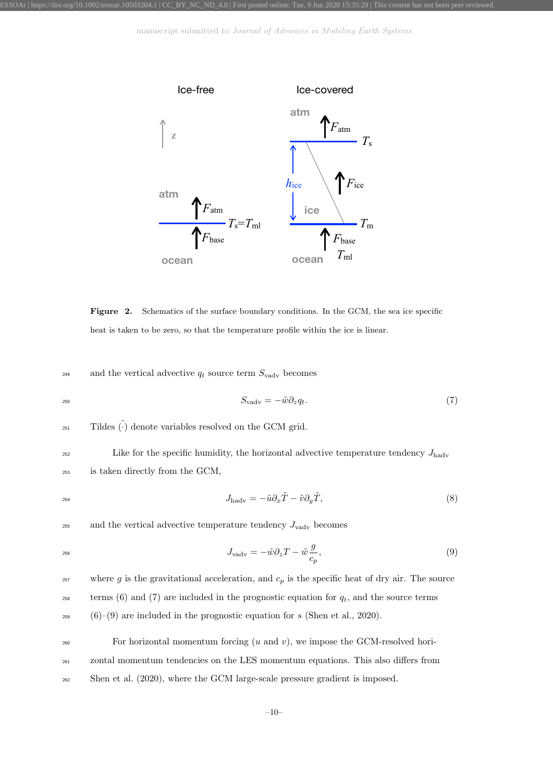

Figure 2. Schematics of the surface boundary conditions. In the GCM, the sea ice specific heat is taken to be zero, so that the temperature profile within the ice is linear.

249 and the vertical advective  $q_t$  source term  $S_{\text{vadv}}$  becomes

$$
S_{\text{vadv}} = -\tilde{w}\partial_z q_t. \tag{7}
$$

 $\tilde{\text{C}}$  251 Tildes  $\tilde{(.)}$  denote variables resolved on the GCM grid.

 $252$  Like for the specific humidity, the horizontal advective temperature tendency  $J_{\text{hadv}}$ <sup>253</sup> is taken directly from the GCM,

$$
J_{\text{hadv}} = -\tilde{u}\partial_x \tilde{T} - \tilde{v}\partial_y \tilde{T},\tag{8}
$$

 $_{255}$  and the vertical advective temperature tendency  $J_{\text{vadv}}$  becomes

$$
J_{\text{vadv}} = -\tilde{w}\partial_z T - \tilde{w}\frac{g}{c_p},\tag{9}
$$

<sup>257</sup> where g is the gravitational acceleration, and  $c_p$  is the specific heat of dry air. The source

 $t_{258}$  terms (6) and (7) are included in the prognostic equation for  $q_t$ , and the source terms

 $259$  (6)–(9) are included in the prognostic equation for s (Shen et al., 2020).

 $260$  For horizontal momentum forcing  $(u \text{ and } v)$ , we impose the GCM-resolved hori-<sup>261</sup> zontal momentum tendencies on the LES momentum equations. This also differs from <sup>262</sup> Shen et al. (2020), where the GCM large-scale pressure gradient is imposed.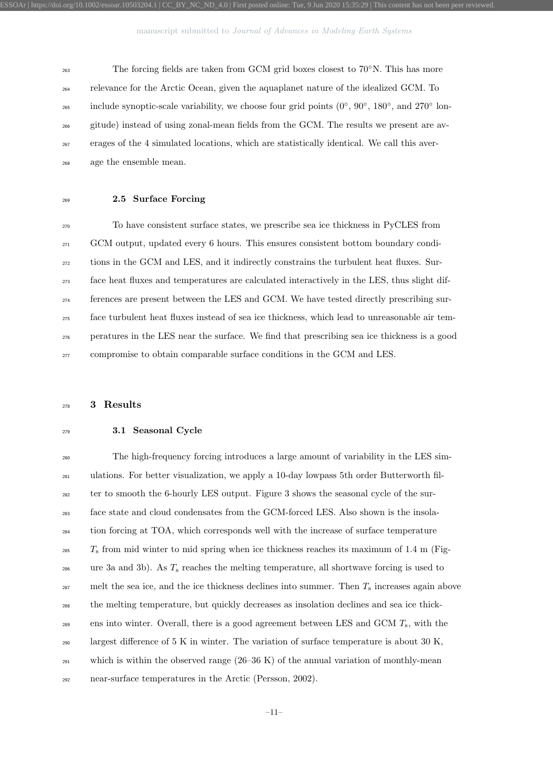$T<sub>263</sub>$  The forcing fields are taken from GCM grid boxes closest to  $70^{\circ}$ N. This has more relevance for the Arctic Ocean, given the aquaplanet nature of the idealized GCM. To include synoptic-scale variability, we choose four grid points  $(0^{\circ}, 90^{\circ}, 180^{\circ}, \text{ and } 270^{\circ} \text{ lon-}$  gitude) instead of using zonal-mean fields from the GCM. The results we present are av- erages of the 4 simulated locations, which are statistically identical. We call this aver-age the ensemble mean.

ESSOAr | https://doi.org/10.1002/essoar.10503204.1 | CC\_BY\_NC\_ND\_4.0 | First posted online: Tue, 9 Jun 2020 15:35:29 | This content has not been peer reviewed.

#### 2.5 Surface Forcing

 To have consistent surface states, we prescribe sea ice thickness in PyCLES from GCM output, updated every 6 hours. This ensures consistent bottom boundary condi- tions in the GCM and LES, and it indirectly constrains the turbulent heat fluxes. Sur- face heat fluxes and temperatures are calculated interactively in the LES, thus slight dif- ferences are present between the LES and GCM. We have tested directly prescribing sur- face turbulent heat fluxes instead of sea ice thickness, which lead to unreasonable air tem- peratures in the LES near the surface. We find that prescribing sea ice thickness is a good compromise to obtain comparable surface conditions in the GCM and LES.

3 Results

#### 3.1 Seasonal Cycle

 The high-frequency forcing introduces a large amount of variability in the LES sim- ulations. For better visualization, we apply a 10-day lowpass 5th order Butterworth fil- ter to smooth the 6-hourly LES output. Figure 3 shows the seasonal cycle of the sur- face state and cloud condensates from the GCM-forced LES. Also shown is the insola- tion forcing at TOA, which corresponds well with the increase of surface temperature  $T<sub>s</sub>$  from mid winter to mid spring when ice thickness reaches its maximum of 1.4 m (Fig-<sup>286</sup> ure 3a and 3b). As  $T_s$  reaches the melting temperature, all shortwave forcing is used to melt the sea ice, and the ice thickness declines into summer. Then  $T_s$  increases again above the melting temperature, but quickly decreases as insolation declines and sea ice thick- ens into winter. Overall, there is a good agreement between LES and GCM  $T_s$ , with the largest difference of 5 K in winter. The variation of surface temperature is about 30 K, 291 which is within the observed range  $(26-36 \text{ K})$  of the annual variation of monthly-mean near-surface temperatures in the Arctic (Persson, 2002).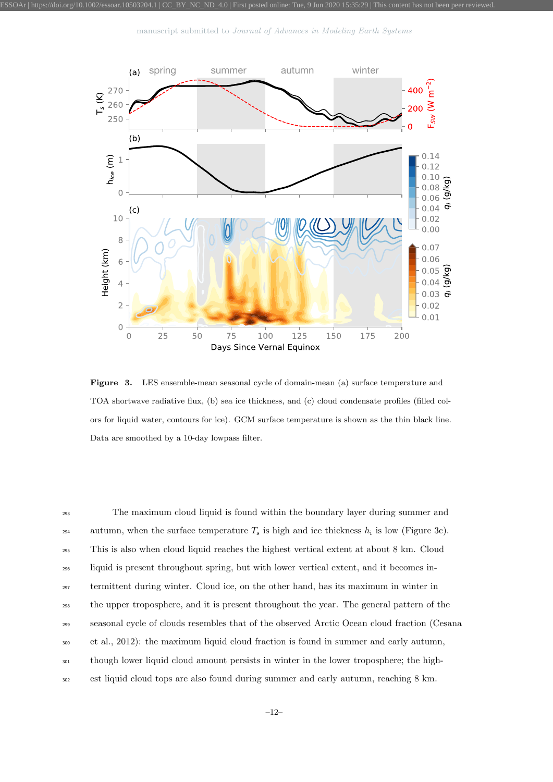

Figure 3. LES ensemble-mean seasonal cycle of domain-mean (a) surface temperature and TOA shortwave radiative flux, (b) sea ice thickness, and (c) cloud condensate profiles (filled colors for liquid water, contours for ice). GCM surface temperature is shown as the thin black line. Data are smoothed by a 10-day lowpass filter.

 The maximum cloud liquid is found within the boundary layer during summer and autumn, when the surface temperature  $T_s$  is high and ice thickness  $h_i$  is low (Figure 3c). This is also when cloud liquid reaches the highest vertical extent at about 8 km. Cloud liquid is present throughout spring, but with lower vertical extent, and it becomes in- termittent during winter. Cloud ice, on the other hand, has its maximum in winter in the upper troposphere, and it is present throughout the year. The general pattern of the seasonal cycle of clouds resembles that of the observed Arctic Ocean cloud fraction (Cesana et al., 2012): the maximum liquid cloud fraction is found in summer and early autumn, though lower liquid cloud amount persists in winter in the lower troposphere; the high-est liquid cloud tops are also found during summer and early autumn, reaching 8 km.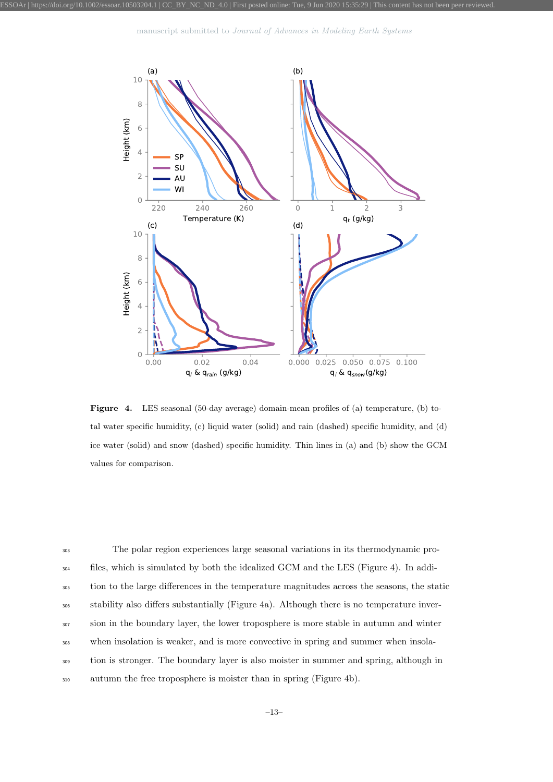

Figure 4. LES seasonal (50-day average) domain-mean profiles of (a) temperature, (b) total water specific humidity, (c) liquid water (solid) and rain (dashed) specific humidity, and (d) ice water (solid) and snow (dashed) specific humidity. Thin lines in (a) and (b) show the GCM values for comparison.

 The polar region experiences large seasonal variations in its thermodynamic pro- files, which is simulated by both the idealized GCM and the LES (Figure 4). In addi- tion to the large differences in the temperature magnitudes across the seasons, the static stability also differs substantially (Figure 4a). Although there is no temperature inver- sion in the boundary layer, the lower troposphere is more stable in autumn and winter when insolation is weaker, and is more convective in spring and summer when insola- tion is stronger. The boundary layer is also moister in summer and spring, although in autumn the free troposphere is moister than in spring (Figure 4b).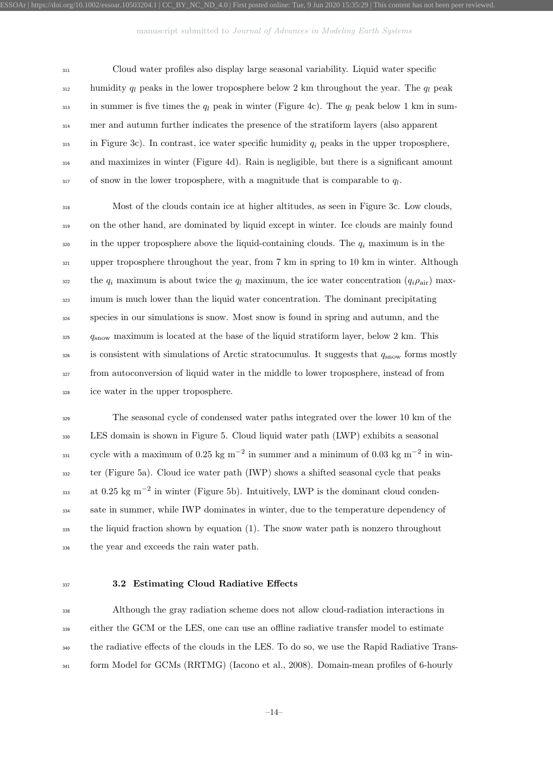ESSOAr | https://doi.org/10.1002/essoar.10503204.1 | CC\_BY\_NC\_ND\_4.0 | First posted online: Tue, 9 Jun 2020 15:35:29 | This content has not been peer reviewed.

<sup>311</sup> Cloud water profiles also display large seasonal variability. Liquid water specific  $\frac{312}{10}$  humidity  $q_l$  peaks in the lower troposphere below 2 km throughout the year. The  $q_l$  peak 313 in summer is five times the  $q_l$  peak in winter (Figure 4c). The  $q_l$  peak below 1 km in sum-<sup>314</sup> mer and autumn further indicates the presence of the stratiform layers (also apparent  $\frac{315}{1315}$  in Figure 3c). In contrast, ice water specific humidity  $q_i$  peaks in the upper troposphere, <sup>316</sup> and maximizes in winter (Figure 4d). Rain is negligible, but there is a significant amount  $_{317}$  of snow in the lower troposphere, with a magnitude that is comparable to  $q_l$ .

 Most of the clouds contain ice at higher altitudes, as seen in Figure 3c. Low clouds, on the other hand, are dominated by liquid except in winter. Ice clouds are mainly found  $\frac{320}{2}$  in the upper troposphere above the liquid-containing clouds. The  $q_i$  maximum is in the upper troposphere throughout the year, from 7 km in spring to 10 km in winter. Although <sup>322</sup> the  $q_i$  maximum is about twice the  $q_l$  maximum, the ice water concentration  $(q_i \rho_{air})$  max-<sup>323</sup> imum is much lower than the liquid water concentration. The dominant precipitating species in our simulations is snow. Most snow is found in spring and autumn, and the  $q_{\text{snow}}$  maximum is located at the base of the liquid stratiform layer, below 2 km. This is consistent with simulations of Arctic stratocumulus. It suggests that  $q_{\text{snow}}$  forms mostly from autoconversion of liquid water in the middle to lower troposphere, instead of from ice water in the upper troposphere.

 The seasonal cycle of condensed water paths integrated over the lower 10 km of the LES domain is shown in Figure 5. Cloud liquid water path (LWP) exhibits a seasonal <sup>331</sup> cycle with a maximum of 0.25 kg m<sup>-2</sup> in summer and a minimum of 0.03 kg m<sup>-2</sup> in win- ter (Figure 5a). Cloud ice water path (IWP) shows a shifted seasonal cycle that peaks 333 at  $0.25 \text{ kg m}^{-2}$  in winter (Figure 5b). Intuitively, LWP is the dominant cloud conden- sate in summer, while IWP dominates in winter, due to the temperature dependency of the liquid fraction shown by equation (1). The snow water path is nonzero throughout the year and exceeds the rain water path.

#### 337 3.2 Estimating Cloud Radiative Effects

<sup>338</sup> Although the gray radiation scheme does not allow cloud-radiation interactions in <sup>339</sup> either the GCM or the LES, one can use an offline radiative transfer model to estimate <sup>340</sup> the radiative effects of the clouds in the LES. To do so, we use the Rapid Radiative Trans-<sup>341</sup> form Model for GCMs (RRTMG) (Iacono et al., 2008). Domain-mean profiles of 6-hourly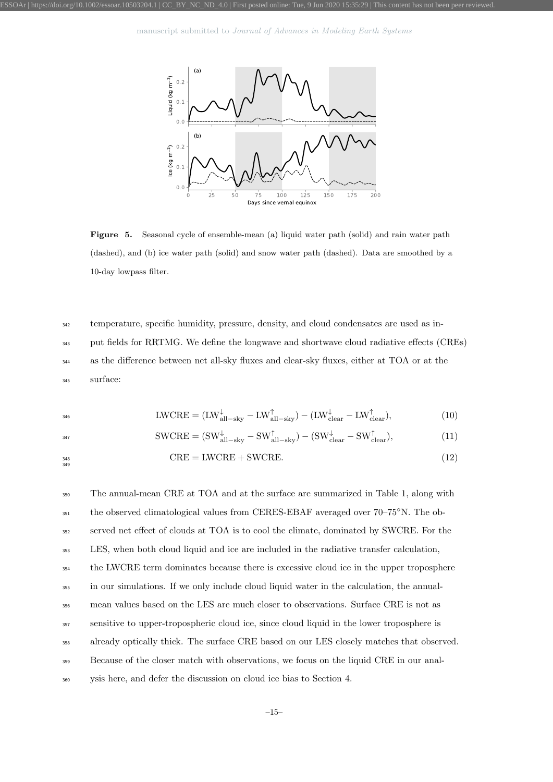

Figure 5. Seasonal cycle of ensemble-mean (a) liquid water path (solid) and rain water path (dashed), and (b) ice water path (solid) and snow water path (dashed). Data are smoothed by a 10-day lowpass filter.

<sup>342</sup> temperature, specific humidity, pressure, density, and cloud condensates are used as in-

<sup>343</sup> put fields for RRTMG. We define the longwave and shortwave cloud radiative effects (CREs) <sup>344</sup> as the difference between net all-sky fluxes and clear-sky fluxes, either at TOA or at the <sup>345</sup> surface:

$$
LWCRE = (LW_{\text{all-sky}}^{\downarrow} - LW_{\text{all-sky}}^{\uparrow}) - (LW_{\text{clear}}^{\downarrow} - LW_{\text{clear}}^{\uparrow}), \tag{10}
$$

$$
SWCRE = (SW_{all-sky}^{\downarrow} - SW_{all-sky}^{\uparrow}) - (SW_{clear}^{\downarrow} - SW_{clear}^{\uparrow}), \tag{11}
$$

348<br>349

$$
CRE = LWCRE + SWCRE.
$$
\n<sup>(12)</sup>

 The annual-mean CRE at TOA and at the surface are summarized in Table 1, along with the observed climatological values from CERES-EBAF averaged over 70–75°N. The ob- served net effect of clouds at TOA is to cool the climate, dominated by SWCRE. For the LES, when both cloud liquid and ice are included in the radiative transfer calculation, the LWCRE term dominates because there is excessive cloud ice in the upper troposphere in our simulations. If we only include cloud liquid water in the calculation, the annual- mean values based on the LES are much closer to observations. Surface CRE is not as sensitive to upper-tropospheric cloud ice, since cloud liquid in the lower troposphere is already optically thick. The surface CRE based on our LES closely matches that observed. Because of the closer match with observations, we focus on the liquid CRE in our anal-ysis here, and defer the discussion on cloud ice bias to Section 4.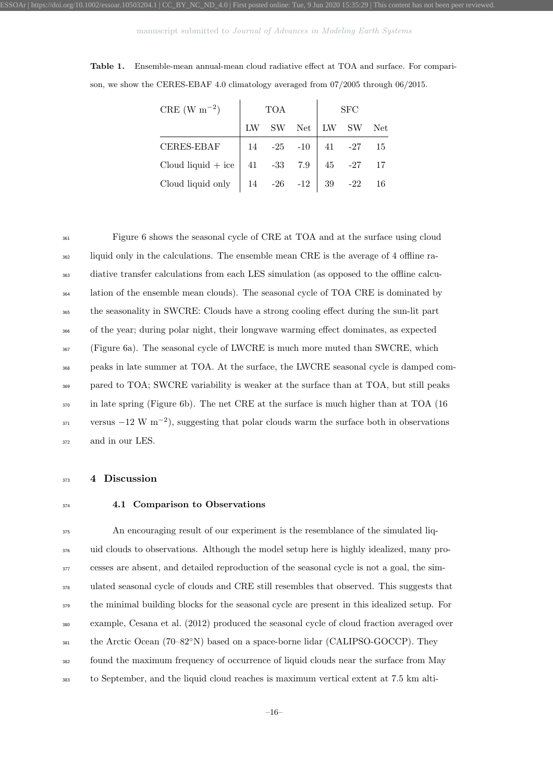| <b>Table 1.</b> Ensemble-mean annual-mean cloud radiative effect at TOA and surface. For compari- |  |  |  |  |  |
|---------------------------------------------------------------------------------------------------|--|--|--|--|--|
| son, we show the CERES-EBAF 4.0 climatology averaged from $07/2005$ through $06/2015$ .           |  |  |  |  |  |

| CRE (W $m^{-2}$ )                                                           | TOA |  |  | <b>SFC</b> |                             |  |  |
|-----------------------------------------------------------------------------|-----|--|--|------------|-----------------------------|--|--|
|                                                                             |     |  |  |            | LW SW Net $\vert$ LW SW Net |  |  |
| CERES-EBAF                                                                  |     |  |  |            | 14 -25 -10   41 -27 15      |  |  |
| Cloud liquid + ice $\begin{vmatrix} 41 & -33 & 7.9 \end{vmatrix}$ 45 -27 17 |     |  |  |            |                             |  |  |
| Cloud liquid only $\begin{vmatrix} 14 & -26 & -12 \end{vmatrix}$ 39 -22 16  |     |  |  |            |                             |  |  |

 Figure 6 shows the seasonal cycle of CRE at TOA and at the surface using cloud liquid only in the calculations. The ensemble mean CRE is the average of 4 offline ra- diative transfer calculations from each LES simulation (as opposed to the offline calcu- lation of the ensemble mean clouds). The seasonal cycle of TOA CRE is dominated by the seasonality in SWCRE: Clouds have a strong cooling effect during the sun-lit part of the year; during polar night, their longwave warming effect dominates, as expected (Figure 6a). The seasonal cycle of LWCRE is much more muted than SWCRE, which peaks in late summer at TOA. At the surface, the LWCRE seasonal cycle is damped com- pared to TOA; SWCRE variability is weaker at the surface than at TOA, but still peaks in late spring (Figure 6b). The net CRE at the surface is much higher than at TOA (16  $v_{371}$  versus  $-12 \text{ W m}^{-2}$ , suggesting that polar clouds warm the surface both in observations <sup>372</sup> and in our LES.

#### 373 4 Discussion

#### <sup>374</sup> 4.1 Comparison to Observations

 An encouraging result of our experiment is the resemblance of the simulated liq- uid clouds to observations. Although the model setup here is highly idealized, many pro- cesses are absent, and detailed reproduction of the seasonal cycle is not a goal, the sim- ulated seasonal cycle of clouds and CRE still resembles that observed. This suggests that the minimal building blocks for the seasonal cycle are present in this idealized setup. For example, Cesana et al. (2012) produced the seasonal cycle of cloud fraction averaged over the Arctic Ocean (70–82°N) based on a space-borne lidar (CALIPSO-GOCCP). They found the maximum frequency of occurrence of liquid clouds near the surface from May to September, and the liquid cloud reaches is maximum vertical extent at 7.5 km alti-

–16–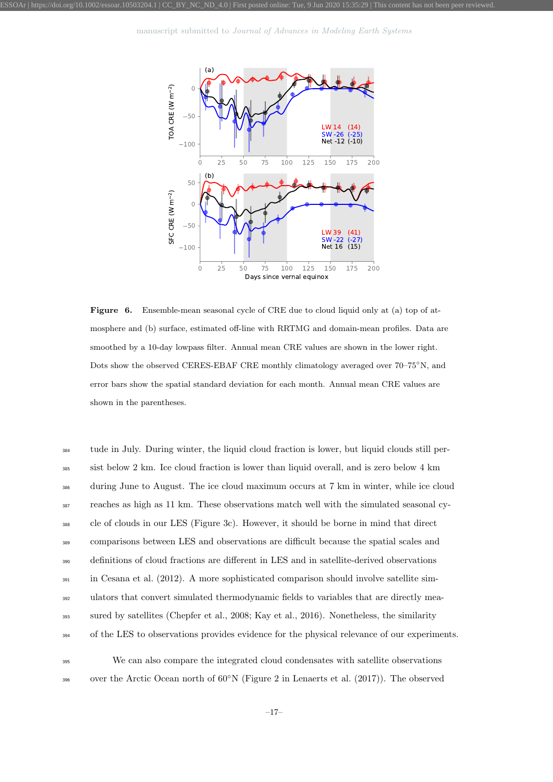

Figure 6. Ensemble-mean seasonal cycle of CRE due to cloud liquid only at (a) top of atmosphere and (b) surface, estimated off-line with RRTMG and domain-mean profiles. Data are smoothed by a 10-day lowpass filter. Annual mean CRE values are shown in the lower right. Dots show the observed CERES-EBAF CRE monthly climatology averaged over 70–75◦N, and error bars show the spatial standard deviation for each month. Annual mean CRE values are shown in the parentheses.

- <sup>384</sup> tude in July. During winter, the liquid cloud fraction is lower, but liquid clouds still per-<sup>385</sup> sist below 2 km. Ice cloud fraction is lower than liquid overall, and is zero below 4 km <sup>386</sup> during June to August. The ice cloud maximum occurs at 7 km in winter, while ice cloud <sup>387</sup> reaches as high as 11 km. These observations match well with the simulated seasonal cy-<sup>388</sup> cle of clouds in our LES (Figure 3c). However, it should be borne in mind that direct <sup>389</sup> comparisons between LES and observations are difficult because the spatial scales and <sup>390</sup> definitions of cloud fractions are different in LES and in satellite-derived observations <sup>391</sup> in Cesana et al. (2012). A more sophisticated comparison should involve satellite sim-<sup>392</sup> ulators that convert simulated thermodynamic fields to variables that are directly mea-<sup>393</sup> sured by satellites (Chepfer et al., 2008; Kay et al., 2016). Nonetheless, the similarity <sup>394</sup> of the LES to observations provides evidence for the physical relevance of our experiments.
- <sup>395</sup> We can also compare the integrated cloud condensates with satellite observations <sup>396</sup> over the Arctic Ocean north of  $60^{\circ}$ N (Figure 2 in Lenaerts et al. (2017)). The observed

–17–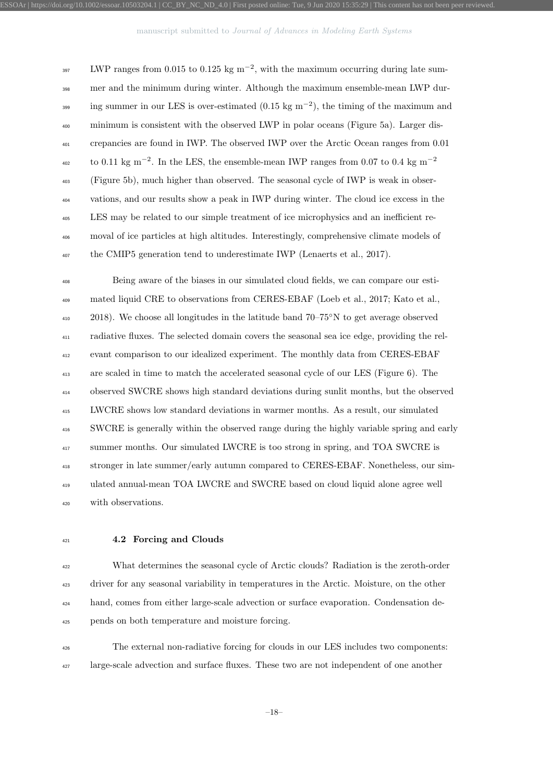$_{397}$  LWP ranges from 0.015 to 0.125 kg m<sup>-2</sup>, with the maximum occurring during late sum- mer and the minimum during winter. Although the maximum ensemble-mean LWP dur- $_{399}$  ing summer in our LES is over-estimated (0.15 kg m<sup>-2</sup>), the timing of the maximum and minimum is consistent with the observed LWP in polar oceans (Figure 5a). Larger dis- crepancies are found in IWP. The observed IWP over the Arctic Ocean ranges from 0.01 to 0.11 kg m<sup>-2</sup>. In the LES, the ensemble-mean IWP ranges from 0.07 to 0.4 kg m<sup>-2</sup> (Figure 5b), much higher than observed. The seasonal cycle of IWP is weak in obser- vations, and our results show a peak in IWP during winter. The cloud ice excess in the LES may be related to our simple treatment of ice microphysics and an inefficient re- moval of ice particles at high altitudes. Interestingly, comprehensive climate models of the CMIP5 generation tend to underestimate IWP (Lenaerts et al., 2017).

 Being aware of the biases in our simulated cloud fields, we can compare our esti-<sup>409</sup> mated liquid CRE to observations from CERES-EBAF (Loeb et al., 2017; Kato et al., ). We choose all longitudes in the latitude band  $70-75^{\circ}N$  to get average observed radiative fluxes. The selected domain covers the seasonal sea ice edge, providing the rel- evant comparison to our idealized experiment. The monthly data from CERES-EBAF are scaled in time to match the accelerated seasonal cycle of our LES (Figure 6). The observed SWCRE shows high standard deviations during sunlit months, but the observed LWCRE shows low standard deviations in warmer months. As a result, our simulated SWCRE is generally within the observed range during the highly variable spring and early summer months. Our simulated LWCRE is too strong in spring, and TOA SWCRE is stronger in late summer/early autumn compared to CERES-EBAF. Nonetheless, our sim- ulated annual-mean TOA LWCRE and SWCRE based on cloud liquid alone agree well with observations.

#### 4.2 Forcing and Clouds

 What determines the seasonal cycle of Arctic clouds? Radiation is the zeroth-order driver for any seasonal variability in temperatures in the Arctic. Moisture, on the other hand, comes from either large-scale advection or surface evaporation. Condensation de-pends on both temperature and moisture forcing.

 The external non-radiative forcing for clouds in our LES includes two components: large-scale advection and surface fluxes. These two are not independent of one another

–18–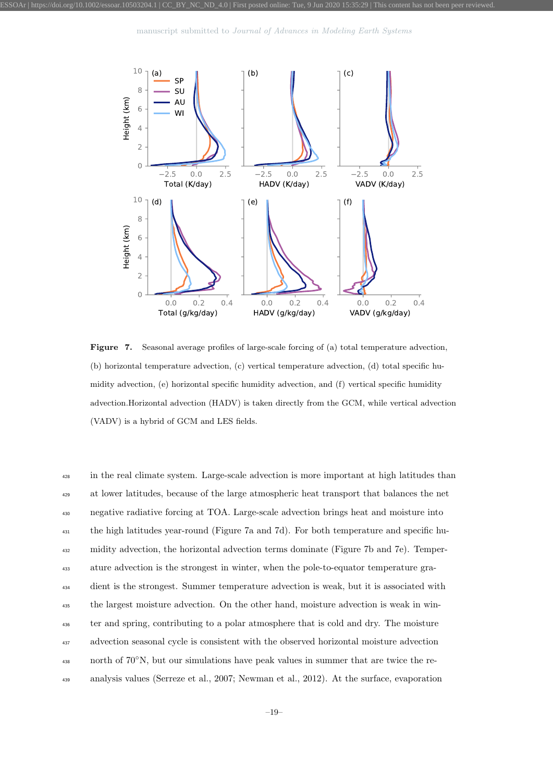

Figure 7. Seasonal average profiles of large-scale forcing of (a) total temperature advection, (b) horizontal temperature advection, (c) vertical temperature advection, (d) total specific humidity advection, (e) horizontal specific humidity advection, and (f) vertical specific humidity advection.Horizontal advection (HADV) is taken directly from the GCM, while vertical advection (VADV) is a hybrid of GCM and LES fields.

<sup>428</sup> in the real climate system. Large-scale advection is more important at high latitudes than at lower latitudes, because of the large atmospheric heat transport that balances the net negative radiative forcing at TOA. Large-scale advection brings heat and moisture into the high latitudes year-round (Figure 7a and 7d). For both temperature and specific hu- midity advection, the horizontal advection terms dominate (Figure 7b and 7e). Temper- ature advection is the strongest in winter, when the pole-to-equator temperature gra- dient is the strongest. Summer temperature advection is weak, but it is associated with the largest moisture advection. On the other hand, moisture advection is weak in win- ter and spring, contributing to a polar atmosphere that is cold and dry. The moisture advection seasonal cycle is consistent with the observed horizontal moisture advection 438 north of 70°N, but our simulations have peak values in summer that are twice the re-analysis values (Serreze et al., 2007; Newman et al., 2012). At the surface, evaporation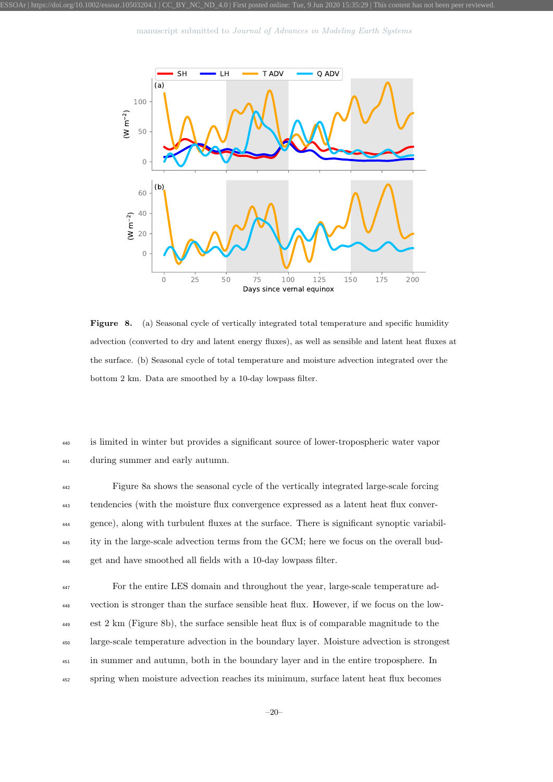

Figure 8. (a) Seasonal cycle of vertically integrated total temperature and specific humidity advection (converted to dry and latent energy fluxes), as well as sensible and latent heat fluxes at the surface. (b) Seasonal cycle of total temperature and moisture advection integrated over the bottom 2 km. Data are smoothed by a 10-day lowpass filter.

## is limited in winter but provides a significant source of lower-tropospheric water vapor during summer and early autumn.

- Figure 8a shows the seasonal cycle of the vertically integrated large-scale forcing tendencies (with the moisture flux convergence expressed as a latent heat flux conver- gence), along with turbulent fluxes at the surface. There is significant synoptic variabil- ity in the large-scale advection terms from the GCM; here we focus on the overall bud-get and have smoothed all fields with a 10-day lowpass filter.
- For the entire LES domain and throughout the year, large-scale temperature ad- vection is stronger than the surface sensible heat flux. However, if we focus on the low- est 2 km (Figure 8b), the surface sensible heat flux is of comparable magnitude to the large-scale temperature advection in the boundary layer. Moisture advection is strongest in summer and autumn, both in the boundary layer and in the entire troposphere. In spring when moisture advection reaches its minimum, surface latent heat flux becomes

–20–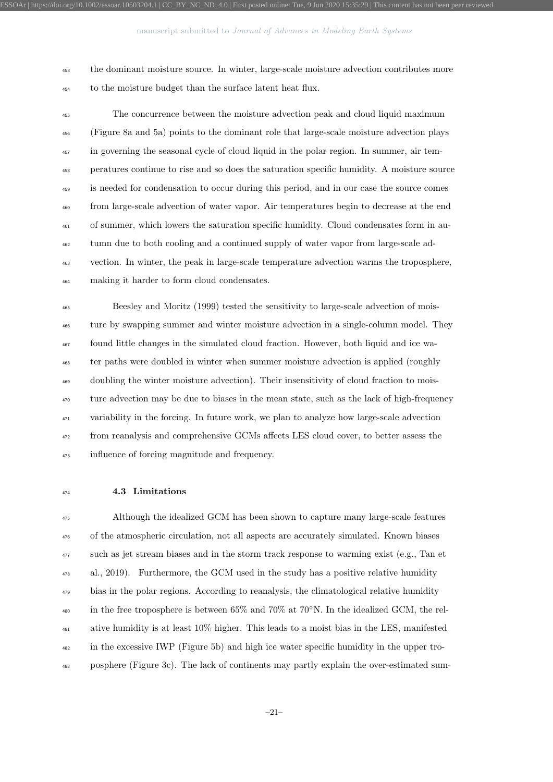the dominant moisture source. In winter, large-scale moisture advection contributes more to the moisture budget than the surface latent heat flux.

ESSOAr | https://doi.org/10.1002/essoar.10503204.1 | CC\_BY\_NC\_ND\_4.0 | First posted online: Tue, 9 Jun 2020 15:35:29 | This content has not been peer reviewed.

 The concurrence between the moisture advection peak and cloud liquid maximum (Figure 8a and 5a) points to the dominant role that large-scale moisture advection plays <sup>457</sup> in governing the seasonal cycle of cloud liquid in the polar region. In summer, air tem- peratures continue to rise and so does the saturation specific humidity. A moisture source is needed for condensation to occur during this period, and in our case the source comes from large-scale advection of water vapor. Air temperatures begin to decrease at the end of summer, which lowers the saturation specific humidity. Cloud condensates form in au- tumn due to both cooling and a continued supply of water vapor from large-scale ad- vection. In winter, the peak in large-scale temperature advection warms the troposphere, making it harder to form cloud condensates.

 Beesley and Moritz (1999) tested the sensitivity to large-scale advection of mois- ture by swapping summer and winter moisture advection in a single-column model. They found little changes in the simulated cloud fraction. However, both liquid and ice wa- ter paths were doubled in winter when summer moisture advection is applied (roughly doubling the winter moisture advection). Their insensitivity of cloud fraction to mois-<sup>470</sup> ture advection may be due to biases in the mean state, such as the lack of high-frequency variability in the forcing. In future work, we plan to analyze how large-scale advection from reanalysis and comprehensive GCMs affects LES cloud cover, to better assess the influence of forcing magnitude and frequency.

#### 4.3 Limitations

 Although the idealized GCM has been shown to capture many large-scale features of the atmospheric circulation, not all aspects are accurately simulated. Known biases <sup>477</sup> such as jet stream biases and in the storm track response to warming exist (e.g., Tan et <sup>478</sup> al., 2019). Furthermore, the GCM used in the study has a positive relative humidity <sup>479</sup> bias in the polar regions. According to reanalysis, the climatological relative humidity 480 in the free troposphere is between  $65\%$  and  $70\%$  at  $70^{\circ}$ N. In the idealized GCM, the rel- ative humidity is at least 10% higher. This leads to a moist bias in the LES, manifested in the excessive IWP (Figure 5b) and high ice water specific humidity in the upper tro-posphere (Figure 3c). The lack of continents may partly explain the over-estimated sum-

–21–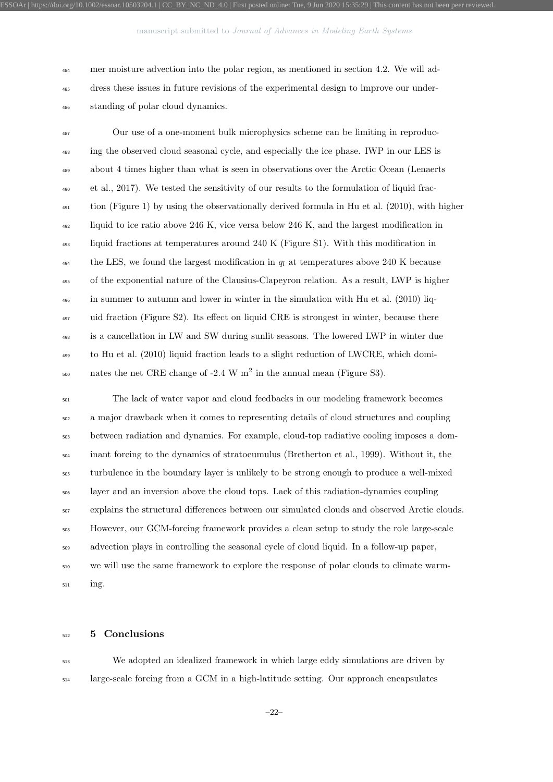mer moisture advection into the polar region, as mentioned in section 4.2. We will ad- dress these issues in future revisions of the experimental design to improve our under-standing of polar cloud dynamics.

ESSOAr | https://doi.org/10.1002/essoar.10503204.1 | CC\_BY\_NC\_ND\_4.0 | First posted online: Tue, 9 Jun 2020 15:35:29 | This content has not been peer reviewed.

 Our use of a one-moment bulk microphysics scheme can be limiting in reproduc- ing the observed cloud seasonal cycle, and especially the ice phase. IWP in our LES is about 4 times higher than what is seen in observations over the Arctic Ocean (Lenaerts et al., 2017). We tested the sensitivity of our results to the formulation of liquid frac- tion (Figure 1) by using the observationally derived formula in Hu et al. (2010), with higher liquid to ice ratio above 246 K, vice versa below 246 K, and the largest modification in liquid fractions at temperatures around 240 K (Figure S1). With this modification in <sup>494</sup> the LES, we found the largest modification in  $q_l$  at temperatures above 240 K because of the exponential nature of the Clausius-Clapeyron relation. As a result, LWP is higher in summer to autumn and lower in winter in the simulation with Hu et al. (2010) liq- uid fraction (Figure S2). Its effect on liquid CRE is strongest in winter, because there is a cancellation in LW and SW during sunlit seasons. The lowered LWP in winter due to Hu et al. (2010) liquid fraction leads to a slight reduction of LWCRE, which domisoo nates the net CRE change of  $-2.4 \text{ W m}^2$  in the annual mean (Figure S3).

 The lack of water vapor and cloud feedbacks in our modeling framework becomes a major drawback when it comes to representing details of cloud structures and coupling between radiation and dynamics. For example, cloud-top radiative cooling imposes a dom- inant forcing to the dynamics of stratocumulus (Bretherton et al., 1999). Without it, the turbulence in the boundary layer is unlikely to be strong enough to produce a well-mixed layer and an inversion above the cloud tops. Lack of this radiation-dynamics coupling explains the structural differences between our simulated clouds and observed Arctic clouds. However, our GCM-forcing framework provides a clean setup to study the role large-scale advection plays in controlling the seasonal cycle of cloud liquid. In a follow-up paper, we will use the same framework to explore the response of polar clouds to climate warm-ing.

#### <sub>512</sub> 5 Conclusions

 We adopted an idealized framework in which large eddy simulations are driven by large-scale forcing from a GCM in a high-latitude setting. Our approach encapsulates

–22–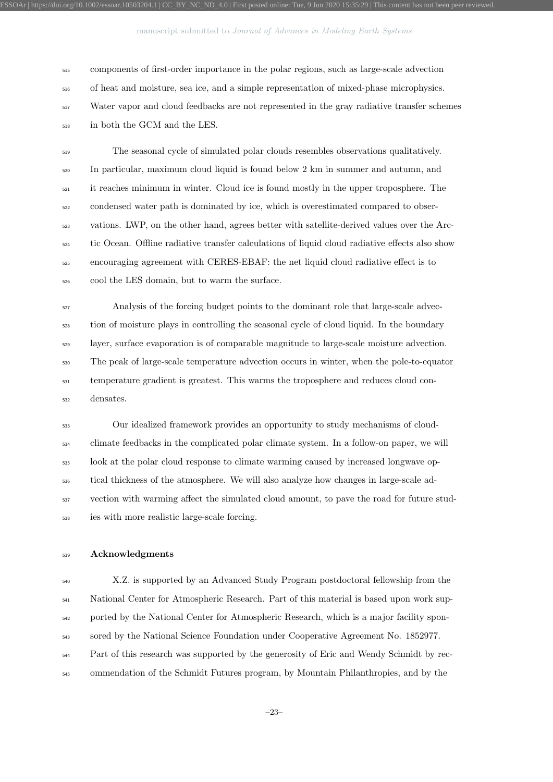components of first-order importance in the polar regions, such as large-scale advection of heat and moisture, sea ice, and a simple representation of mixed-phase microphysics. Water vapor and cloud feedbacks are not represented in the gray radiative transfer schemes in both the GCM and the LES.

 The seasonal cycle of simulated polar clouds resembles observations qualitatively. In particular, maximum cloud liquid is found below 2 km in summer and autumn, and it reaches minimum in winter. Cloud ice is found mostly in the upper troposphere. The condensed water path is dominated by ice, which is overestimated compared to obser- vations. LWP, on the other hand, agrees better with satellite-derived values over the Arc- tic Ocean. Offline radiative transfer calculations of liquid cloud radiative effects also show encouraging agreement with CERES-EBAF: the net liquid cloud radiative effect is to cool the LES domain, but to warm the surface.

 Analysis of the forcing budget points to the dominant role that large-scale advec- tion of moisture plays in controlling the seasonal cycle of cloud liquid. In the boundary layer, surface evaporation is of comparable magnitude to large-scale moisture advection. The peak of large-scale temperature advection occurs in winter, when the pole-to-equator temperature gradient is greatest. This warms the troposphere and reduces cloud con-densates.

 Our idealized framework provides an opportunity to study mechanisms of cloud- climate feedbacks in the complicated polar climate system. In a follow-on paper, we will look at the polar cloud response to climate warming caused by increased longwave op- tical thickness of the atmosphere. We will also analyze how changes in large-scale ad- vection with warming affect the simulated cloud amount, to pave the road for future stud-ies with more realistic large-scale forcing.

#### Acknowledgments

 X.Z. is supported by an Advanced Study Program postdoctoral fellowship from the National Center for Atmospheric Research. Part of this material is based upon work sup- ported by the National Center for Atmospheric Research, which is a major facility spon- sored by the National Science Foundation under Cooperative Agreement No. 1852977. Part of this research was supported by the generosity of Eric and Wendy Schmidt by rec-ommendation of the Schmidt Futures program, by Mountain Philanthropies, and by the

–23–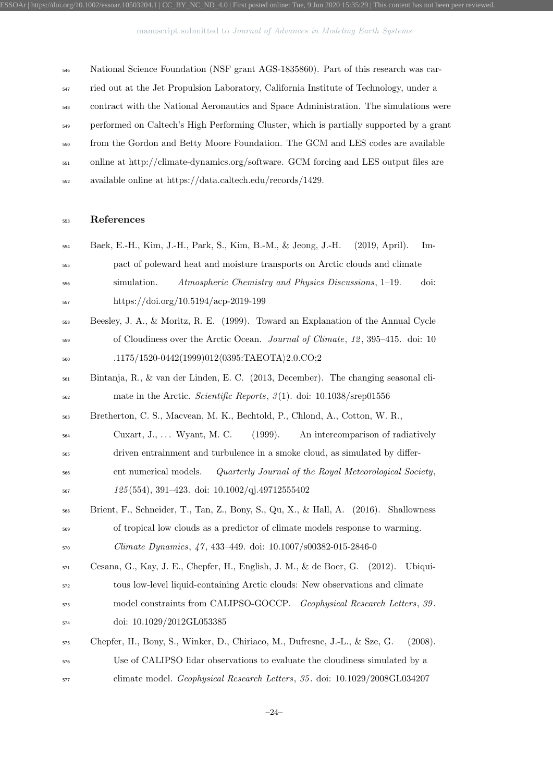National Science Foundation (NSF grant AGS-1835860). Part of this research was car-

ried out at the Jet Propulsion Laboratory, California Institute of Technology, under a

ESSOAr | https://doi.org/10.1002/essoar.10503204.1 | CC\_BY\_NC\_ND\_4.0 | First posted online: Tue, 9 Jun 2020 15:35:29 | This content has not been peer reviewed.

- contract with the National Aeronautics and Space Administration. The simulations were
- performed on Caltech's High Performing Cluster, which is partially supported by a grant
- from the Gordon and Betty Moore Foundation. The GCM and LES codes are available
- online at http://climate-dynamics.org/software. GCM forcing and LES output files are
- available online at https://data.caltech.edu/records/1429.

#### References

- Baek, E.-H., Kim, J.-H., Park, S., Kim, B.-M., & Jeong, J.-H. (2019, April). Im- pact of poleward heat and moisture transports on Arctic clouds and climate simulation. Atmospheric Chemistry and Physics Discussions, 1–19. doi: https://doi.org/10.5194/acp-2019-199
- Beesley, J. A., & Moritz, R. E. (1999). Toward an Explanation of the Annual Cycle <sub>559</sub> of Cloudiness over the Arctic Ocean. *Journal of Climate*, 12, 395–415. doi: 10 560 .1175/1520-0442(1999)012(0395:TAEOTA)2.0.CO;2
- Bintanja, R., & van der Linden, E. C. (2013, December). The changing seasonal cli-mate in the Arctic. Scientific Reports, 3 (1). doi: 10.1038/srep01556

Bretherton, C. S., Macvean, M. K., Bechtold, P., Chlond, A., Cotton, W. R.,

- Cuxart, J., . . . Wyant, M. C. (1999). An intercomparison of radiatively driven entrainment and turbulence in a smoke cloud, as simulated by differ-
- ent numerical models. Quarterly Journal of the Royal Meteorological Society,  $125(554), 391-423.$  doi:  $10.1002/qj.49712555402$
- Brient, F., Schneider, T., Tan, Z., Bony, S., Qu, X., & Hall, A. (2016). Shallowness of tropical low clouds as a predictor of climate models response to warming. Climate Dynamics, 47 , 433–449. doi: 10.1007/s00382-015-2846-0
- Cesana, G., Kay, J. E., Chepfer, H., English, J. M., & de Boer, G. (2012). Ubiqui- tous low-level liquid-containing Arctic clouds: New observations and climate <sub>573</sub> model constraints from CALIPSO-GOCCP. Geophysical Research Letters, 39.
- doi: 10.1029/2012GL053385
- Chepfer, H., Bony, S., Winker, D., Chiriaco, M., Dufresne, J.-L., & Sze, G. (2008). Use of CALIPSO lidar observations to evaluate the cloudiness simulated by a climate model. Geophysical Research Letters, 35 . doi: 10.1029/2008GL034207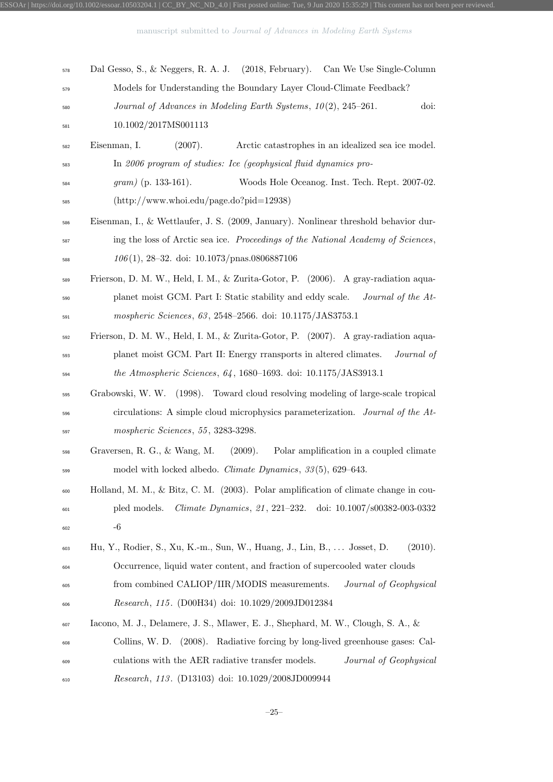| 578 | Dal Gesso, S., & Neggers, R. A. J. (2018, February). Can We Use Single-Column                    |
|-----|--------------------------------------------------------------------------------------------------|
| 579 | Models for Understanding the Boundary Layer Cloud-Climate Feedback?                              |
| 580 | Journal of Advances in Modeling Earth Systems, $10(2)$ , 245-261.<br>doi:                        |
| 581 | 10.1002/2017MS001113                                                                             |
| 582 | Eisenman, I.<br>(2007).<br>Arctic catastrophes in an idealized sea ice model.                    |
| 583 | In 2006 program of studies: Ice (geophysical fluid dynamics pro-                                 |
| 584 | <i>gram</i> ) (p. 133-161).<br>Woods Hole Oceanog. Inst. Tech. Rept. 2007-02.                    |
| 585 | $(\text{http://www.whoi.edu/page.do?pid=12938})$                                                 |
| 586 | Eisenman, I., & Wettlaufer, J. S. (2009, January). Nonlinear threshold behavior dur-             |
| 587 | ing the loss of Arctic sea ice. Proceedings of the National Academy of Sciences,                 |
| 588 | $106(1)$ , 28-32. doi: 10.1073/pnas.0806887106                                                   |
| 589 | Frierson, D. M. W., Held, I. M., & Zurita-Gotor, P. (2006). A gray-radiation aqua-               |
| 590 | planet moist GCM. Part I: Static stability and eddy scale. Journal of the At-                    |
| 591 | mospheric Sciences, 63, 2548–2566. doi: 10.1175/JAS3753.1                                        |
| 592 | Frierson, D. M. W., Held, I. M., & Zurita-Gotor, P. (2007). A gray-radiation aqua-               |
| 593 | planet moist GCM. Part II: Energy rransports in altered climates.<br>Journal of                  |
| 594 | the Atmospheric Sciences, $64$ , 1680–1693. doi: 10.1175/JAS3913.1                               |
| 595 | (1998). Toward cloud resolving modeling of large-scale tropical<br>Grabowski, W. W.              |
| 596 | circulations: A simple cloud microphysics parameterization. Journal of the At-                   |
| 597 | mospheric Sciences, 55, 3283-3298.                                                               |
| 598 | (2009).<br>Graversen, R. G., & Wang, M.<br>Polar amplification in a coupled climate              |
| 599 | model with locked albedo. <i>Climate Dynamics</i> , $33(5)$ , $629-643$ .                        |
| 600 | Holland, M. M., & Bitz, C. M. (2003). Polar amplification of climate change in cou-              |
| 601 | $Climate\ Dynamics, 21, 221-232.$<br>pled models.<br>doi: $10.1007 \text{/} s00382 - 003 - 0332$ |
| 602 | $-6$                                                                                             |
| 603 | Hu, Y., Rodier, S., Xu, K.-m., Sun, W., Huang, J., Lin, B.,  Josset, D.<br>(2010).               |
| 604 | Occurrence, liquid water content, and fraction of supercooled water clouds                       |
| 605 | from combined CALIOP/IIR/MODIS measurements.<br>Journal of Geophysical                           |
| 606 | <i>Research</i> , 115. (D00H34) doi: 10.1029/2009JD012384                                        |
| 607 | Iacono, M. J., Delamere, J. S., Mlawer, E. J., Shephard, M. W., Clough, S. A., &                 |
| 608 | Radiative forcing by long-lived greenhouse gases: Cal-<br>Collins, W. D.<br>(2008).              |
| 609 | culations with the AER radiative transfer models.<br>Journal of Geophysical                      |
| 610 | Research, 113. (D13103) doi: 10.1029/2008JD009944                                                |

–25–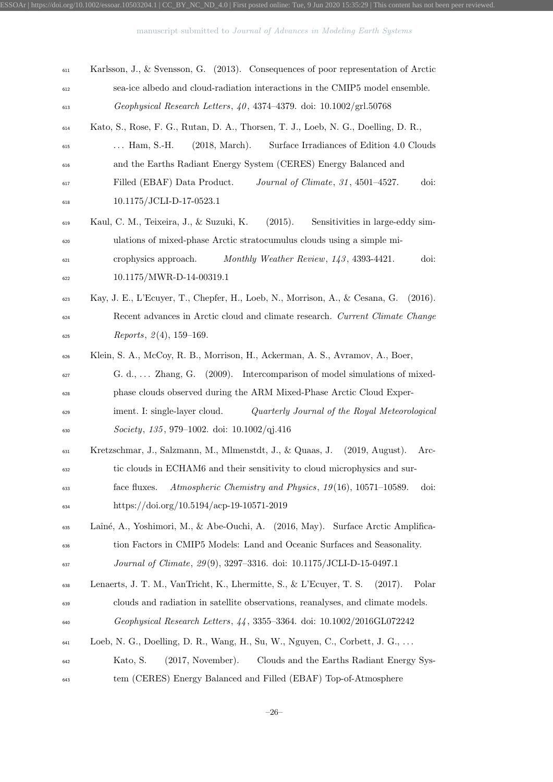| 611 | Karlsson, J., & Svensson, G. (2013). Consequences of poor representation of Arctic      |
|-----|-----------------------------------------------------------------------------------------|
| 612 | sea-ice albedo and cloud-radiation interactions in the CMIP5 model ensemble.            |
| 613 | Geophysical Research Letters, $40, 4374 - 4379$ . doi: $10.1002 \text{grl}.50768$       |
| 614 | Kato, S., Rose, F. G., Rutan, D. A., Thorsen, T. J., Loeb, N. G., Doelling, D. R.,      |
| 615 | $\ldots$ Ham, S.-H.<br>(2018, March).<br>Surface Irradiances of Edition 4.0 Clouds      |
| 616 | and the Earths Radiant Energy System (CERES) Energy Balanced and                        |
| 617 | Filled (EBAF) Data Product.<br><i>Journal of Climate, 31, 4501-4527.</i><br>doi:        |
| 618 | 10.1175/JCLI-D-17-0523.1                                                                |
| 619 | Kaul, C. M., Teixeira, J., & Suzuki, K.<br>(2015).<br>Sensitivities in large-eddy sim-  |
| 620 | ulations of mixed-phase Arctic stratocumulus clouds using a simple mi-                  |
| 621 | Monthly Weather Review, 143, 4393-4421.<br>crophysics approach.<br>doi:                 |
| 622 | 10.1175/MWR-D-14-00319.1                                                                |
| 623 | Kay, J. E., L'Ecuyer, T., Chepfer, H., Loeb, N., Morrison, A., & Cesana, G.<br>(2016).  |
| 624 | Recent advances in Arctic cloud and climate research. Current Climate Change            |
| 625 | <i>Reports</i> , $2(4)$ , 159-169.                                                      |
| 626 | Klein, S. A., McCoy, R. B., Morrison, H., Ackerman, A. S., Avramov, A., Boer,           |
| 627 | G. d.,  Zhang, G. (2009). Intercomparison of model simulations of mixed-                |
| 628 | phase clouds observed during the ARM Mixed-Phase Arctic Cloud Exper-                    |
| 629 | iment. I: single-layer cloud.<br>Quarterly Journal of the Royal Meteorological          |
| 630 | <i>Society</i> , $135$ , $979-1002$ . doi: $10.1002/qj.416$                             |
| 631 | Kretzschmar, J., Salzmann, M., Mlmenstdt, J., & Quaas, J. (2019, August).<br>Arc-       |
| 632 | tic clouds in ECHAM6 and their sensitivity to cloud microphysics and sur-               |
| 633 | Atmospheric Chemistry and Physics, $19(16)$ , $10571-10589$ .<br>face fluxes.<br>doi:   |
| 634 | https://doi.org/10.5194/acp-19-10571-2019                                               |
| 635 | Laîné, A., Yoshimori, M., & Abe-Ouchi, A. (2016, May). Surface Arctic Amplifica-        |
| 636 | tion Factors in CMIP5 Models: Land and Oceanic Surfaces and Seasonality.                |
| 637 | <i>Journal of Climate, 29(9), 3297–3316.</i> doi: $10.1175/JCLI-D-15-0497.1$            |
| 638 | Lenaerts, J. T. M., VanTricht, K., Lhermitte, S., & L'Ecuyer, T. S.<br>(2017).<br>Polar |
| 639 | clouds and radiation in satellite observations, reanalyses, and climate models.         |
| 640 | <i>Geophysical Research Letters,</i> $44$ , 3355–3364. doi: $10.1002/2016$ GL072242     |
| 641 | Loeb, N. G., Doelling, D. R., Wang, H., Su, W., Nguyen, C., Corbett, J. G.,             |
| 642 | (2017, November).<br>Kato, S.<br>Clouds and the Earths Radiant Energy Sys-              |
| 643 | tem (CERES) Energy Balanced and Filled (EBAF) Top-of-Atmosphere                         |

–26–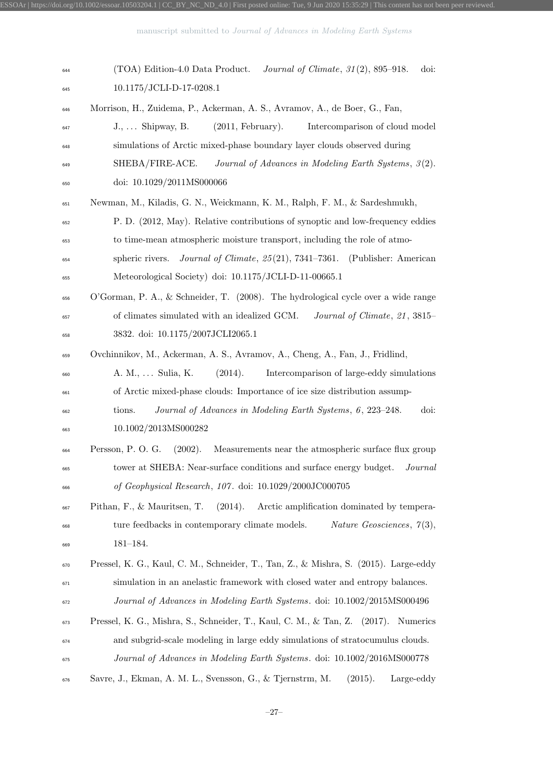| 644 | (TOA) Edition-4.0 Data Product.<br><i>Journal of Climate, 31</i> (2), 895-918.<br>doi:   |
|-----|------------------------------------------------------------------------------------------|
| 645 | 10.1175/JCLI-D-17-0208.1                                                                 |
| 646 | Morrison, H., Zuidema, P., Ackerman, A. S., Avramov, A., de Boer, G., Fan,               |
| 647 | (2011, February).<br>$J., \ldots$ Shipway, B.<br>Intercomparison of cloud model          |
| 648 | simulations of Arctic mixed-phase boundary layer clouds observed during                  |
| 649 | Journal of Advances in Modeling Earth Systems, 3(2).<br>SHEBA/FIRE-ACE.                  |
| 650 | doi: 10.1029/2011MS000066                                                                |
| 651 | Newman, M., Kiladis, G. N., Weickmann, K. M., Ralph, F. M., & Sardeshmukh,               |
| 652 | P. D. (2012, May). Relative contributions of synoptic and low-frequency eddies           |
| 653 | to time-mean atmospheric moisture transport, including the role of atmo-                 |
| 654 | Journal of Climate, 25(21), 7341–7361. (Publisher: American<br>spheric rivers.           |
| 655 | Meteorological Society) doi: 10.1175/JCLI-D-11-00665.1                                   |
| 656 | O'Gorman, P. A., & Schneider, T. (2008). The hydrological cycle over a wide range        |
| 657 | of climates simulated with an idealized GCM.<br>Journal of Climate, $21, 3815$           |
| 658 | 3832. doi: 10.1175/2007JCLI2065.1                                                        |
| 659 | Ovchinnikov, M., Ackerman, A. S., Avramov, A., Cheng, A., Fan, J., Fridlind,             |
| 660 | A. M.,  Sulia, K.<br>(2014).<br>Intercomparison of large-eddy simulations                |
| 661 | of Arctic mixed-phase clouds: Importance of ice size distribution assump-                |
| 662 | Journal of Advances in Modeling Earth Systems, 6, 223–248.<br>doi:<br>tions.             |
| 663 | 10.1002/2013MS000282                                                                     |
| 664 | (2002).<br>Persson, P. O. G.<br>Measurements near the atmospheric surface flux group     |
| 665 | tower at SHEBA: Near-surface conditions and surface energy budget.<br>Journal            |
| 666 | of Geophysical Research, $107.$ doi: $10.1029/2000JCO00705$                              |
| 667 | Pithan, F., & Mauritsen, T.<br>(2014).<br>Arctic amplification dominated by tempera-     |
| 668 | ture feedbacks in contemporary climate models.<br>Nature Geosciences, $7(3)$ ,           |
| 669 | $181 - 184.$                                                                             |
| 670 | Pressel, K. G., Kaul, C. M., Schneider, T., Tan, Z., & Mishra, S. (2015). Large-eddy     |
| 671 | simulation in an anelastic framework with closed water and entropy balances.             |
| 672 | Journal of Advances in Modeling Earth Systems. doi: 10.1002/2015MS000496                 |
| 673 | Pressel, K. G., Mishra, S., Schneider, T., Kaul, C. M., & Tan, Z.<br>(2017).<br>Numerics |
| 674 | and subgrid-scale modeling in large eddy simulations of stratocumulus clouds.            |
| 675 | Journal of Advances in Modeling Earth Systems. doi: 10.1002/2016MS000778                 |
| 676 | (2015).<br>Savre, J., Ekman, A. M. L., Svensson, G., & Tjernstrm, M.<br>Large-eddy       |

–27–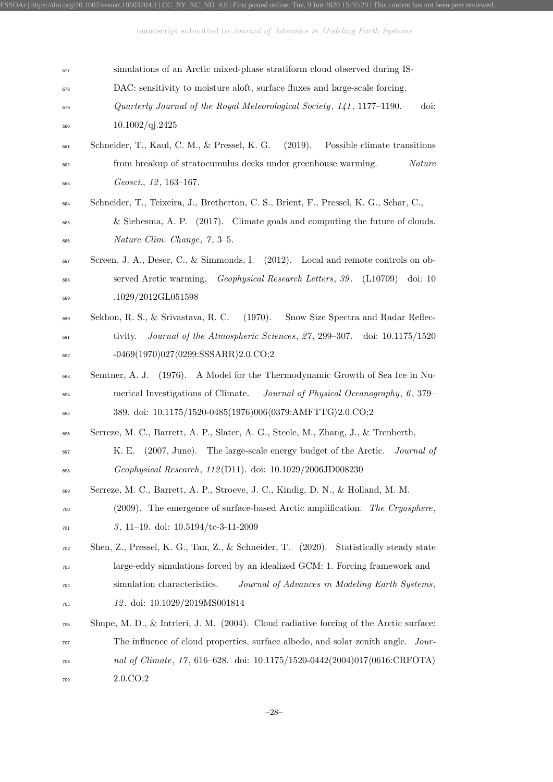| 677 | simulations of an Arctic mixed-phase stratiform cloud observed during IS-                   |
|-----|---------------------------------------------------------------------------------------------|
| 678 | DAC: sensitivity to moisture aloft, surface fluxes and large-scale forcing.                 |
| 679 | Quarterly Journal of the Royal Meteorological Society, 141, 1177-1190.<br>doi:              |
| 680 | $10.1002$ /qj.2425                                                                          |
| 681 | Schneider, T., Kaul, C. M., & Pressel, K. G.<br>(2019).<br>Possible climate transitions     |
| 682 | from breakup of stratocumulus decks under greenhouse warming.<br><i>Nature</i>              |
| 683 | $Geosci., 12, 163-167.$                                                                     |
| 684 | Schneider, T., Teixeira, J., Bretherton, C. S., Brient, F., Pressel, K. G., Schar, C.,      |
| 685 | & Siebesma, A. P. $(2017)$ . Climate goals and computing the future of clouds.              |
| 686 | Nature Clim. Change, 7, 3-5.                                                                |
| 687 | Screen, J. A., Deser, C., & Simmonds, I. (2012). Local and remote controls on ob-           |
| 688 | served Arctic warming. Geophysical Research Letters, 39. (L10709)<br>$\dot{\text{doi:}} 10$ |
| 689 | $.1029/2012$ GL051598                                                                       |
| 690 | Sekhon, R. S., & Srivastava, R. C.<br>(1970).<br>Snow Size Spectra and Radar Reflec-        |
| 691 | Journal of the Atmospheric Sciences, 27, 299-307. doi: 10.1175/1520<br>tivity.              |
| 692 | $-0469(1970)027(0299:SSSARR)2.0.CO;2$                                                       |
| 693 | (1976). A Model for the Thermodynamic Growth of Sea Ice in Nu-<br>Semtner, A. J.            |
| 694 | Journal of Physical Oceanography, 6, 379-<br>merical Investigations of Climate.             |
| 695 | 389. doi: 10.1175/1520-0485(1976)006(0379:AMFTTG)2.0.CO;2                                   |
| 696 | Serreze, M. C., Barrett, A. P., Slater, A. G., Steele, M., Zhang, J., & Trenberth,          |
| 697 | (2007, June). The large-scale energy budget of the Arctic.<br>K. E.<br><i>Journal</i> of    |
| 698 | Geophysical Research, 112(D11). doi: 10.1029/2006JD008230                                   |
| 699 | Serreze, M. C., Barrett, A. P., Stroeve, J. C., Kindig, D. N., & Holland, M. M.             |
| 700 | $(2009)$ . The emergence of surface-based Arctic amplification. The Cryosphere,             |
| 701 | $3, 11-19.$ doi: $10.5194$ /tc-3-11-2009                                                    |
| 702 | Shen, Z., Pressel, K. G., Tan, Z., & Schneider, T.<br>(2020).<br>Statistically steady state |
| 703 | large-eddy simulations forced by an idealized GCM: 1. Forcing framework and                 |
| 704 | simulation characteristics.<br>Journal of Advances in Modeling Earth Systems,               |
| 705 | $12.$ doi: $10.1029/2019\rm{MS}001814$                                                      |
| 706 | Shupe, M. D., & Intrieri, J. M. $(2004)$ . Cloud radiative forcing of the Arctic surface:   |
| 707 | The influence of cloud properties, surface albedo, and solar zenith angle.<br>$Jour-$       |
| 708 | nal of Climate, 17, 616–628. doi: $10.1175/1520-0442(2004)017(0616:CRFOTA)$                 |
| 709 | 2.0.CO;2                                                                                    |